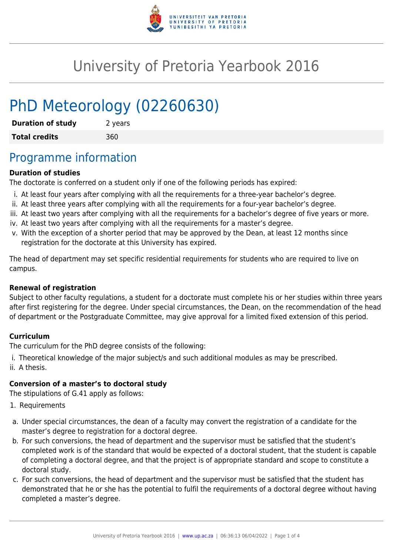

# University of Pretoria Yearbook 2016

# PhD Meteorology (02260630)

| <b>Duration of study</b> | 2 years |
|--------------------------|---------|
| <b>Total credits</b>     | 360     |

## Programme information

#### **Duration of studies**

The doctorate is conferred on a student only if one of the following periods has expired:

- i. At least four years after complying with all the requirements for a three-year bachelor's degree.
- ii. At least three years after complying with all the requirements for a four-year bachelor's degree.
- iii. At least two years after complying with all the requirements for a bachelor's degree of five years or more.
- iv. At least two years after complying with all the requirements for a master's degree.
- v. With the exception of a shorter period that may be approved by the Dean, at least 12 months since registration for the doctorate at this University has expired.

The head of department may set specific residential requirements for students who are required to live on campus.

#### **Renewal of registration**

Subject to other faculty regulations, a student for a doctorate must complete his or her studies within three years after first registering for the degree. Under special circumstances, the Dean, on the recommendation of the head of department or the Postgraduate Committee, may give approval for a limited fixed extension of this period.

#### **Curriculum**

The curriculum for the PhD degree consists of the following:

i. Theoretical knowledge of the major subject/s and such additional modules as may be prescribed. ii. A thesis.

#### **Conversion of a master's to doctoral study**

The stipulations of G.41 apply as follows:

- 1. Requirements
- a. Under special circumstances, the dean of a faculty may convert the registration of a candidate for the master's degree to registration for a doctoral degree.
- b. For such conversions, the head of department and the supervisor must be satisfied that the student's completed work is of the standard that would be expected of a doctoral student, that the student is capable of completing a doctoral degree, and that the project is of appropriate standard and scope to constitute a doctoral study.
- c. For such conversions, the head of department and the supervisor must be satisfied that the student has demonstrated that he or she has the potential to fulfil the requirements of a doctoral degree without having completed a master's degree.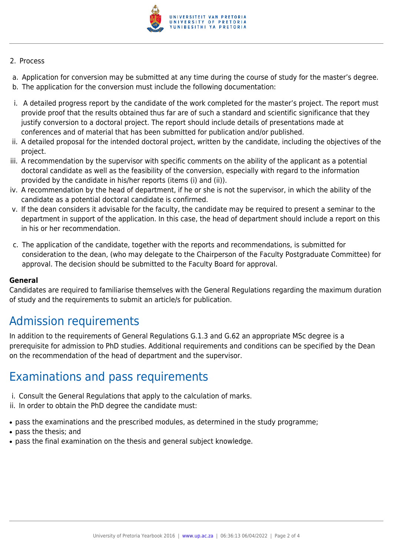

#### 2. Process

- a. Application for conversion may be submitted at any time during the course of study for the master's degree.
- b. The application for the conversion must include the following documentation:
- i. A detailed progress report by the candidate of the work completed for the master's project. The report must provide proof that the results obtained thus far are of such a standard and scientific significance that they justify conversion to a doctoral project. The report should include details of presentations made at conferences and of material that has been submitted for publication and/or published.
- ii. A detailed proposal for the intended doctoral project, written by the candidate, including the objectives of the project.
- iii. A recommendation by the supervisor with specific comments on the ability of the applicant as a potential doctoral candidate as well as the feasibility of the conversion, especially with regard to the information provided by the candidate in his/her reports (items (i) and (ii)).
- iv. A recommendation by the head of department, if he or she is not the supervisor, in which the ability of the candidate as a potential doctoral candidate is confirmed.
- v. If the dean considers it advisable for the faculty, the candidate may be required to present a seminar to the department in support of the application. In this case, the head of department should include a report on this in his or her recommendation.
- c. The application of the candidate, together with the reports and recommendations, is submitted for consideration to the dean, (who may delegate to the Chairperson of the Faculty Postgraduate Committee) for approval. The decision should be submitted to the Faculty Board for approval.

#### **General**

Candidates are required to familiarise themselves with the General Regulations regarding the maximum duration of study and the requirements to submit an article/s for publication.

### Admission requirements

In addition to the requirements of General Regulations G.1.3 and G.62 an appropriate MSc degree is a prerequisite for admission to PhD studies. Additional requirements and conditions can be specified by the Dean on the recommendation of the head of department and the supervisor.

### Examinations and pass requirements

- i. Consult the General Regulations that apply to the calculation of marks.
- ii. In order to obtain the PhD degree the candidate must:
- pass the examinations and the prescribed modules, as determined in the study programme;
- pass the thesis: and
- pass the final examination on the thesis and general subject knowledge.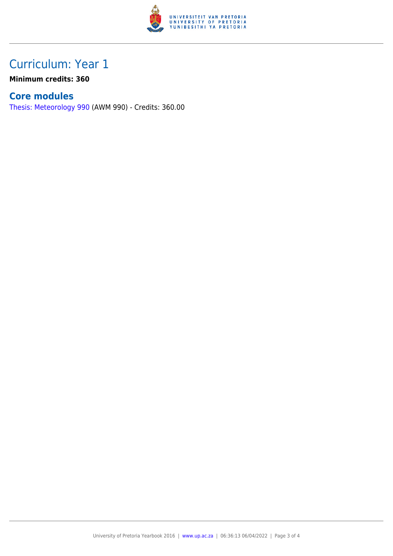

## Curriculum: Year 1

**Minimum credits: 360**

### **Core modules**

[Thesis: Meteorology 990](https://www.up.ac.za/faculty-of-education/yearbooks/2016/modules/view/AWM 990) (AWM 990) - Credits: 360.00